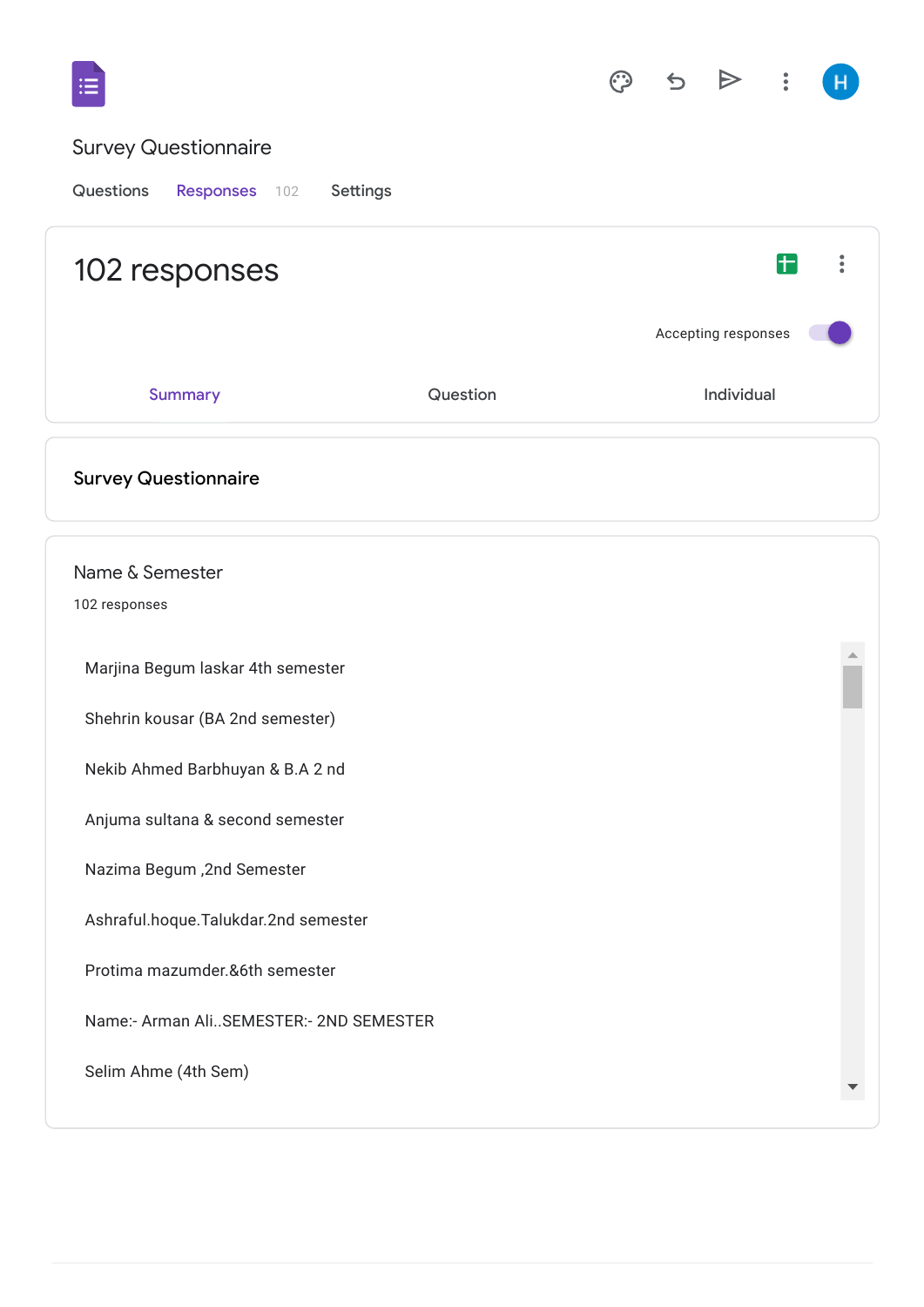|                                         |          | ා |            |                     |   |  |
|-----------------------------------------|----------|---|------------|---------------------|---|--|
| <b>Survey Questionnaire</b>             |          |   |            |                     |   |  |
| Questions<br>Responses 102<br>Settings  |          |   |            |                     |   |  |
| 102 responses                           |          |   |            |                     | Ŧ |  |
|                                         |          |   |            | Accepting responses |   |  |
| <b>Summary</b>                          | Question |   | Individual |                     |   |  |
| <b>Survey Questionnaire</b>             |          |   |            |                     |   |  |
| Name & Semester<br>102 responses        |          |   |            |                     |   |  |
| Marjina Begum laskar 4th semester       |          |   |            |                     |   |  |
| Shehrin kousar (BA 2nd semester)        |          |   |            |                     |   |  |
| Nekib Ahmed Barbhuyan & B.A 2 nd        |          |   |            |                     |   |  |
| Anjuma sultana & second semester        |          |   |            |                     |   |  |
| Nazima Begum, 2nd Semester              |          |   |            |                     |   |  |
| Ashraful.hoque.Talukdar.2nd semester    |          |   |            |                     |   |  |
| Protima mazumder.&6th semester          |          |   |            |                     |   |  |
| Name:- Arman AliSEMESTER:- 2ND SEMESTER |          |   |            |                     |   |  |
| Selim Ahme (4th Sem)                    |          |   |            |                     |   |  |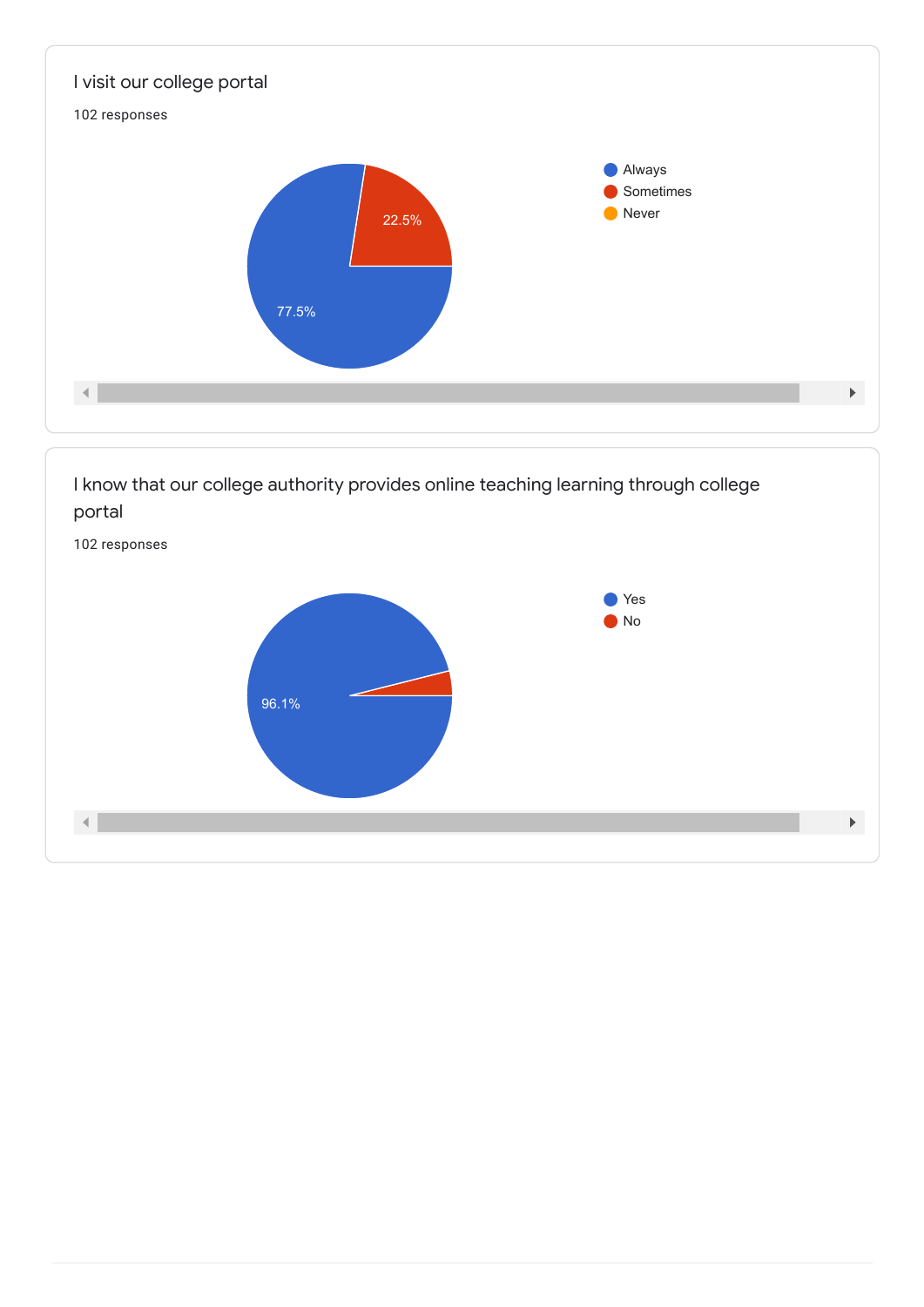

I know that our college authority provides online teaching learning through college portal

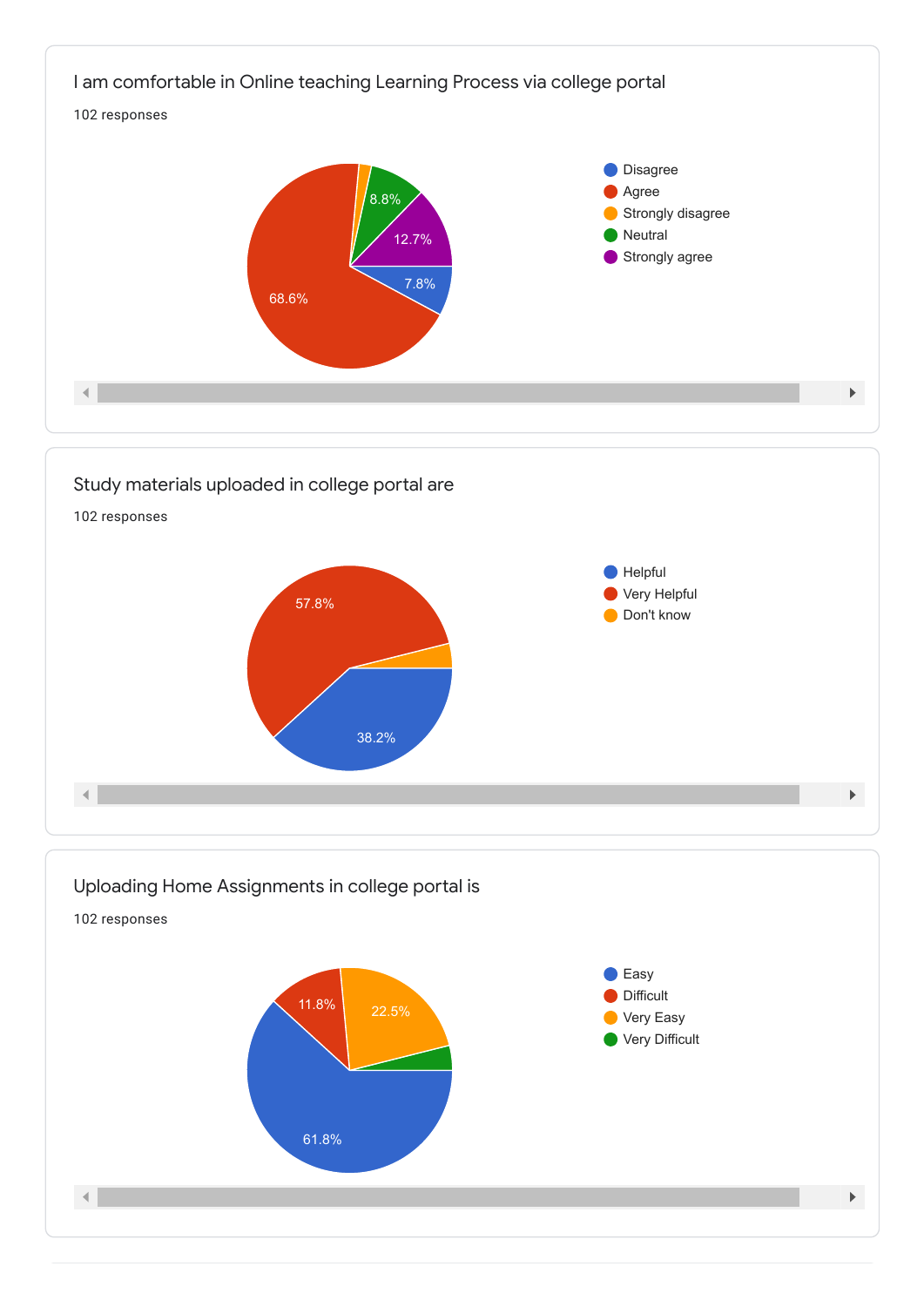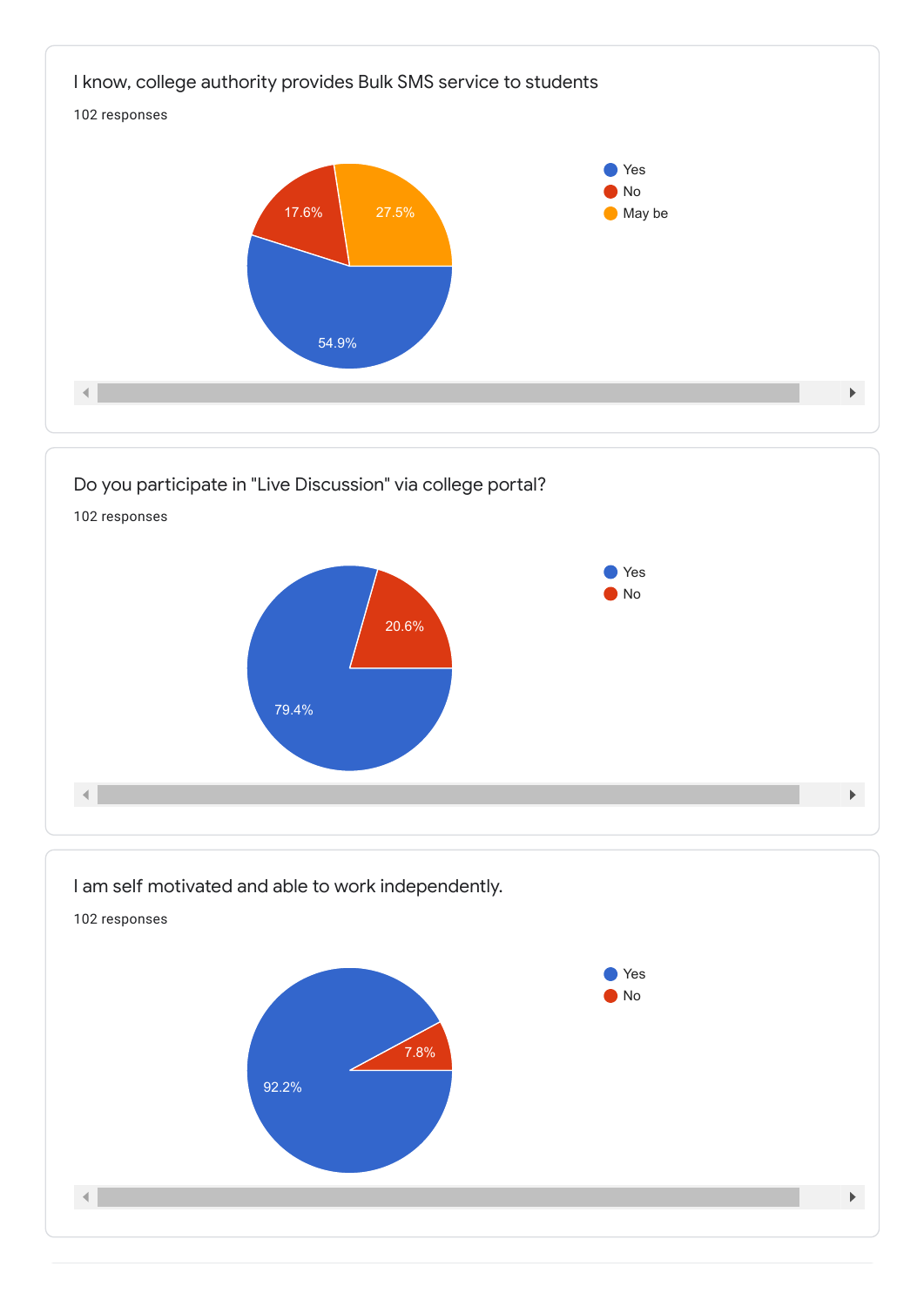